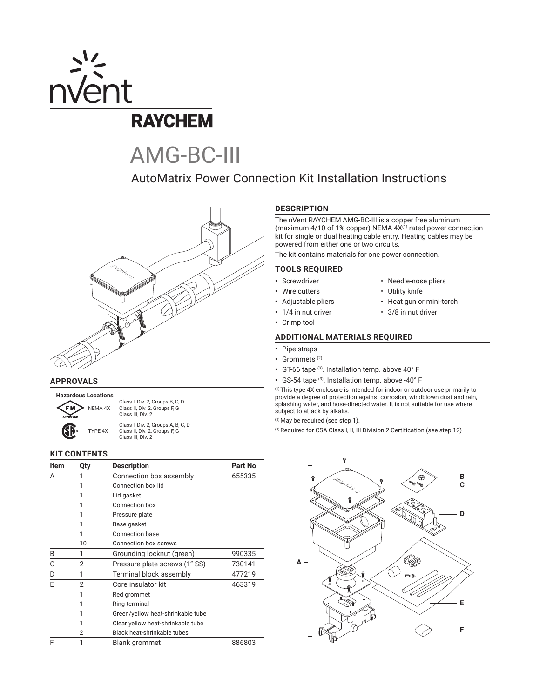

# AMG-BC-III

## AutoMatrix Power Connection Kit Installation Instructions



#### **APPROVALS**

**Hazardous Locations**

Class I, Div. 2, Groups B, C, D NEMA 4X Class II, Div. 2, Groups F, G Class III, Div. 2

Class I, Div. 2, Groups A, B, C, D TYPE 4X Class II, Div. 2, Groups F, G Class III, Div. 2

#### **KIT CONTENTS**

| Item | Qty            | <b>Description</b>                | <b>Part No</b> |  |  |
|------|----------------|-----------------------------------|----------------|--|--|
| A    |                | Connection box assembly           | 655335         |  |  |
|      | 1              | Connection box lid                |                |  |  |
|      | 1              | Lid gasket                        |                |  |  |
|      | 1              | Connection box                    |                |  |  |
|      | 1              | Pressure plate                    |                |  |  |
|      | 1              | Base gasket                       |                |  |  |
|      | 1              | Connection base                   |                |  |  |
|      | 10             | Connection box screws             |                |  |  |
| B    | 1              | Grounding locknut (green)         | 990335         |  |  |
| С    | 2              | Pressure plate screws (1" SS)     | 730141         |  |  |
| D    | 1              | Terminal block assembly           | 477219         |  |  |
| E    | 2              | Core insulator kit                | 463319         |  |  |
|      | 1              | Red grommet                       |                |  |  |
|      | 1              | Ring terminal                     |                |  |  |
|      | 1              | Green/yellow heat-shrinkable tube |                |  |  |
|      |                | Clear yellow heat-shrinkable tube |                |  |  |
|      | $\overline{2}$ | Black heat-shrinkable tubes       |                |  |  |
| F    | 1              | 886803<br>Blank grommet           |                |  |  |

#### **DESCRIPTION**

The nVent RAYCHEM AMG-BC-III is a copper free aluminum (maximum 4/10 of 1% copper) NEMA 4X<sup>(1)</sup> rated power connection kit for single or dual heating cable entry. Heating cables may be powered from either one or two circuits.

The kit contains materials for one power connection.

#### **TOOLS REQUIRED**

- Screwdriver Needle-nose pliers
- Wire cutters Utility knife
- Adjustable pliers Heat gun or mini-torch
- 1/4 in nut driver 3/8 in nut driver
- Crimp tool

#### **ADDITIONAL MATERIALS REQUIRED**

- Pipe straps
- Grommets (2)
- GT-66 tape  $(3)$ . Installation temp. above 40° F
- GS-54 tape (3). Installation temp. above -40° F

(1) This type 4X enclosure is intended for indoor or outdoor use primarily to provide a degree of protection against corrosion, windblown dust and rain, splashing water, and hose-directed water. It is not suitable for use where subject to attack by alkalis.

(2) May be required (see step 1).

(3) Required for CSA Class I, II, III Division 2 Certification (see step 12)

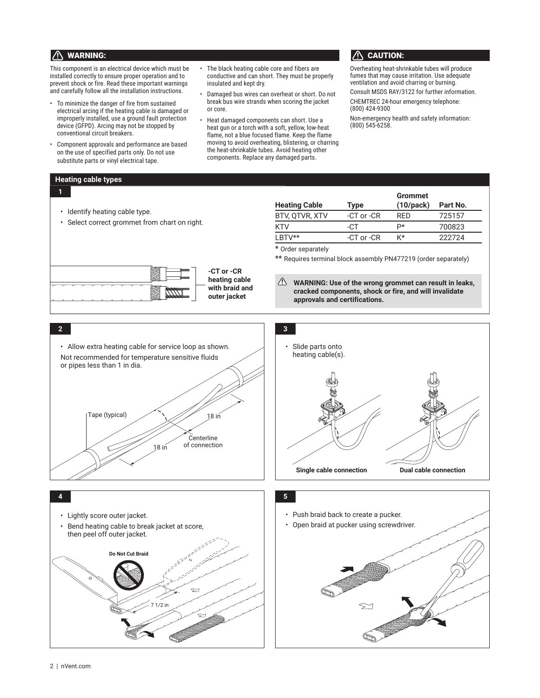### $\bigwedge$  warning:  $\bigwedge$  caution:

This component is an electrical device which must be installed correctly to ensure proper operation and to prevent shock or fire. Read these important warnings and carefully follow all the installation instructions.

- To minimize the danger of fire from sustained electrical arcing if the heating cable is damaged or improperly installed, use a ground fault protection device (GFPD). Arcing may not be stopped by conventional circuit breakers.
- Component approvals and performance are based on the use of specified parts only. Do not use substitute parts or vinyl electrical tape.
- The black heating cable core and fibers are conductive and can short. They must be properly insulated and kept dry.
- Damaged bus wires can overheat or short. Do not break bus wire strands when scoring the jacket or core.
- Heat damaged components can short. Use a heat gun or a torch with a soft, yellow, low-heat flame, not a blue focused flame. Keep the flame moving to avoid overheating, blistering, or charring the heat-shrinkable tubes. Avoid heating other components. Replace any damaged parts.

Overheating heat-shrinkable tubes will produce fumes that may cause irritation. Use adequate ventilation and avoid charring or burning.

Consult MSDS RAY/3122 for further information. CHEMTREC 24-hour emergency telephone: (800) 424-9300

Non-emergency health and safety information: (800) 545-6258.

#### **Heating cable types**

**1**

| • Identify heating cable type.<br>• Select correct grommet from chart on right.                                         |  |  |  |  |
|-------------------------------------------------------------------------------------------------------------------------|--|--|--|--|
| -CT or -CR<br>$\frac{1}{2}$<br><b><i><u>PARADORS</u></i></b><br>heating cable<br>with braid and<br>mmmm<br>outer jacket |  |  |  |  |

| Heating Cable  | Type           | <b>Grommet</b><br>$(10$ /pack $)$ | Part No. |
|----------------|----------------|-----------------------------------|----------|
| BTV, QTVR, XTV | -CT or -CR     | <b>RFD</b>                        | 725157   |
| KTV            | -CT            | р*                                | 700823   |
| LBTV**         | $-CT$ or $-CR$ | K*                                | 222724   |

Order separately

Requires terminal block assembly PN477219 (order separately)

**WARNING: Use of the wrong grommet can result in leaks, cracked components, shock or fire, and will invalidate approvals and certifications.**

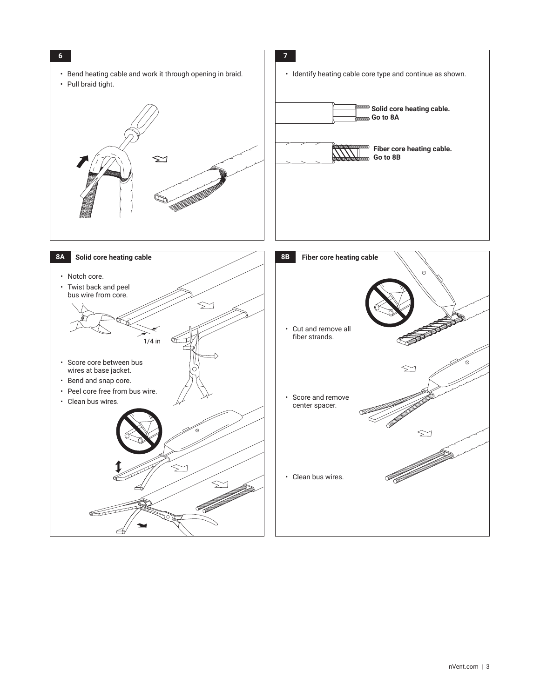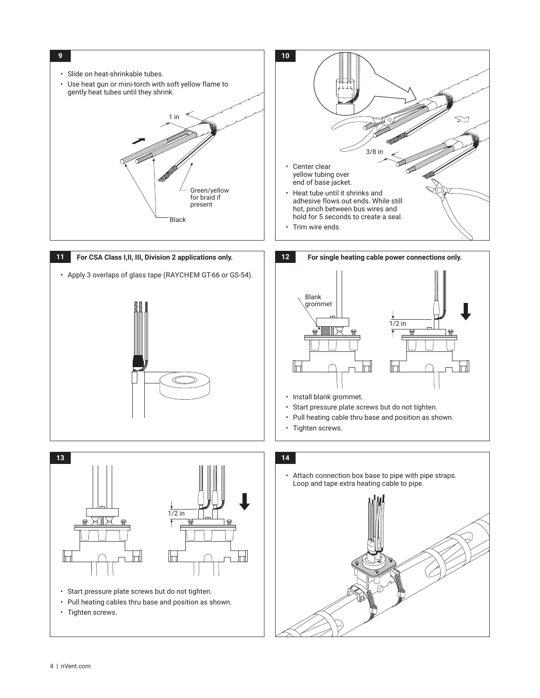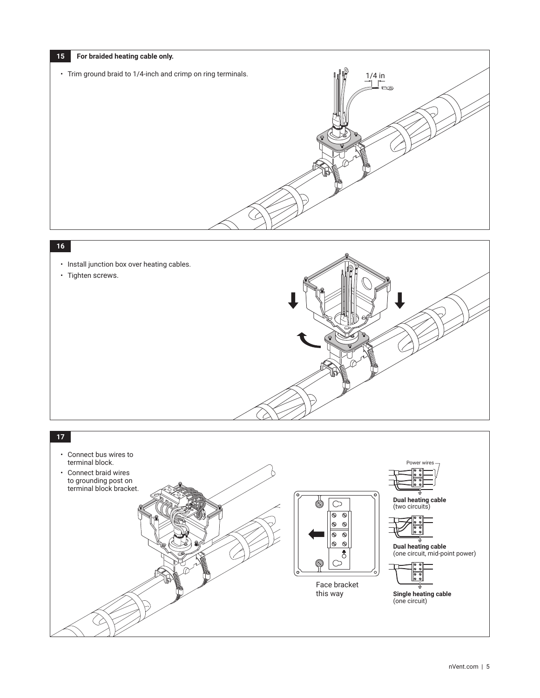